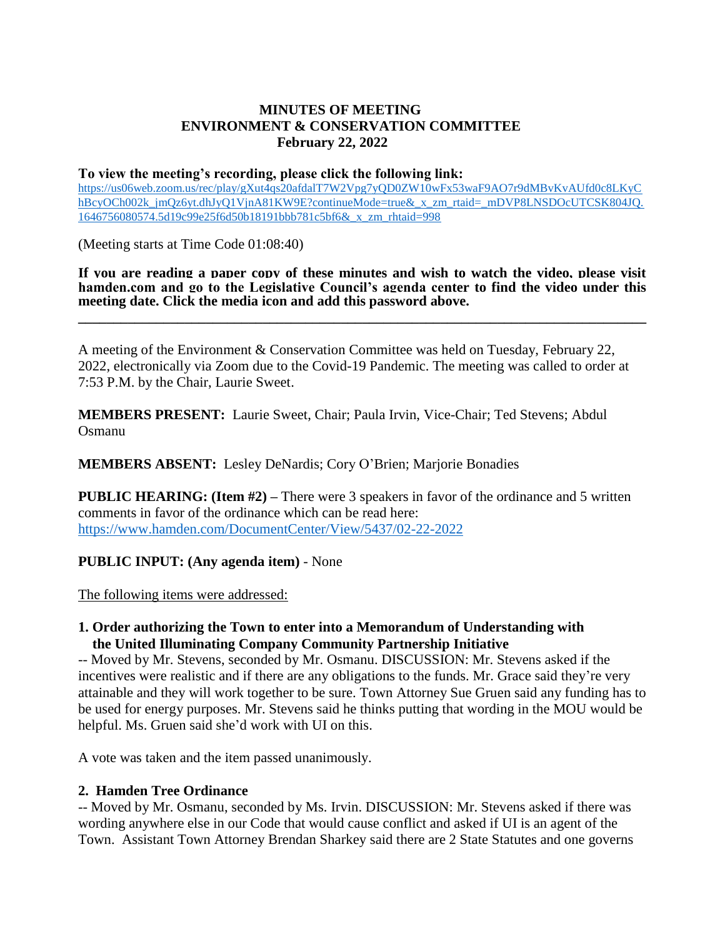## **MINUTES OF MEETING ENVIRONMENT & CONSERVATION COMMITTEE February 22, 2022**

## **To view the meeting's recording, please click the following link:**

[https://us06web.zoom.us/rec/play/gXut4qs20afdalT7W2Vpg7yQD0ZW10wFx53waF9AO7r9dMBvKvAUfd0c8LKyC](https://us06web.zoom.us/rec/play/gXut4qs20afdalT7W2Vpg7yQD0ZW10wFx53waF9AO7r9dMBvKvAUfd0c8LKyChBcyOCh002k_jmQz6yt.dhJyQ1VjnA81KW9E?continueMode=true&_x_zm_rtaid=_mDVP8LNSDOcUTCSK804JQ.1646756080574.5d19c99e25f6d50b18191bbb781c5bf6&_x_zm_rhtaid=998) [hBcyOCh002k\\_jmQz6yt.dhJyQ1VjnA81KW9E?continueMode=true&\\_x\\_zm\\_rtaid=\\_mDVP8LNSDOcUTCSK804JQ.](https://us06web.zoom.us/rec/play/gXut4qs20afdalT7W2Vpg7yQD0ZW10wFx53waF9AO7r9dMBvKvAUfd0c8LKyChBcyOCh002k_jmQz6yt.dhJyQ1VjnA81KW9E?continueMode=true&_x_zm_rtaid=_mDVP8LNSDOcUTCSK804JQ.1646756080574.5d19c99e25f6d50b18191bbb781c5bf6&_x_zm_rhtaid=998) [1646756080574.5d19c99e25f6d50b18191bbb781c5bf6&\\_x\\_zm\\_rhtaid=998](https://us06web.zoom.us/rec/play/gXut4qs20afdalT7W2Vpg7yQD0ZW10wFx53waF9AO7r9dMBvKvAUfd0c8LKyChBcyOCh002k_jmQz6yt.dhJyQ1VjnA81KW9E?continueMode=true&_x_zm_rtaid=_mDVP8LNSDOcUTCSK804JQ.1646756080574.5d19c99e25f6d50b18191bbb781c5bf6&_x_zm_rhtaid=998)

(Meeting starts at Time Code 01:08:40)

**If you are reading a paper copy of these minutes and wish to watch the video, please visit hamden.com and go to the Legislative Council's agenda center to find the video under this meeting date. Click the media icon and add this password above.**

**\_\_\_\_\_\_\_\_\_\_\_\_\_\_\_\_\_\_\_\_\_\_\_\_\_\_\_\_\_\_\_\_\_\_\_\_\_\_\_\_\_\_\_\_\_\_\_\_\_\_\_\_\_\_\_\_\_\_\_\_\_\_\_\_\_\_\_\_\_\_\_\_\_\_\_\_\_\_\_\_**

A meeting of the Environment & Conservation Committee was held on Tuesday, February 22, 2022, electronically via Zoom due to the Covid-19 Pandemic. The meeting was called to order at 7:53 P.M. by the Chair, Laurie Sweet.

**MEMBERS PRESENT:** Laurie Sweet, Chair; Paula Irvin, Vice-Chair; Ted Stevens; Abdul Osmanu

**MEMBERS ABSENT:** Lesley DeNardis; Cory O'Brien; Marjorie Bonadies

**PUBLIC HEARING: (Item #2) –** There were 3 speakers in favor of the ordinance and 5 written comments in favor of the ordinance which can be read here: <https://www.hamden.com/DocumentCenter/View/5437/02-22-2022>

**PUBLIC INPUT: (Any agenda item)** - None

The following items were addressed:

## **1. Order authorizing the Town to enter into a Memorandum of Understanding with the United Illuminating Company Community Partnership Initiative**

-- Moved by Mr. Stevens, seconded by Mr. Osmanu. DISCUSSION: Mr. Stevens asked if the incentives were realistic and if there are any obligations to the funds. Mr. Grace said they're very attainable and they will work together to be sure. Town Attorney Sue Gruen said any funding has to be used for energy purposes. Mr. Stevens said he thinks putting that wording in the MOU would be helpful. Ms. Gruen said she'd work with UI on this.

A vote was taken and the item passed unanimously.

## **2. Hamden Tree Ordinance**

-- Moved by Mr. Osmanu, seconded by Ms. Irvin. DISCUSSION: Mr. Stevens asked if there was wording anywhere else in our Code that would cause conflict and asked if UI is an agent of the Town. Assistant Town Attorney Brendan Sharkey said there are 2 State Statutes and one governs